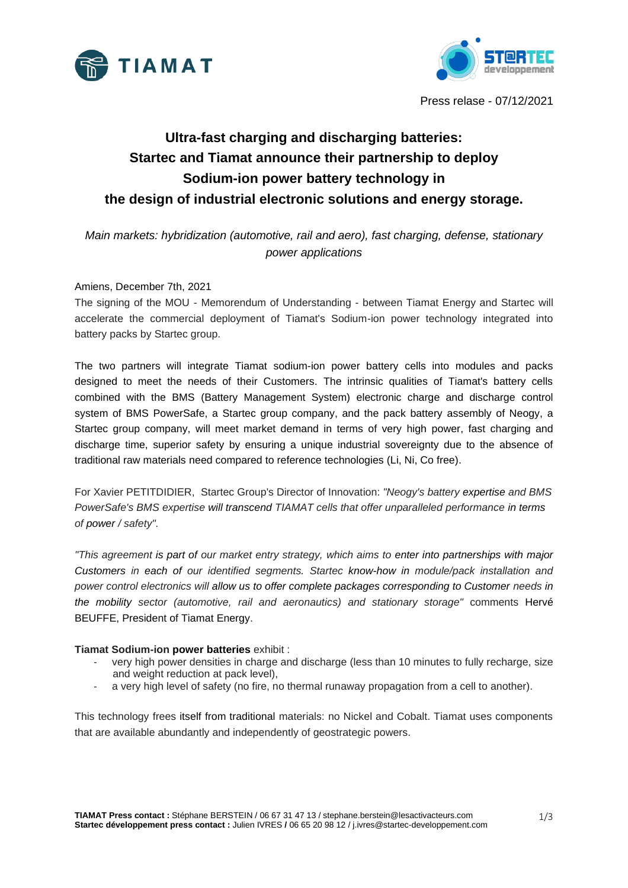



Press relase - 07/12/2021

# **Ultra-fast charging and discharging batteries: Startec and Tiamat announce their partnership to deploy Sodium-ion power battery technology in the design of industrial electronic solutions and energy storage.**

*Main markets: hybridization (automotive, rail and aero), fast charging, defense, stationary power applications*

## Amiens, December 7th, 2021

The signing of the MOU - Memorendum of Understanding - between Tiamat Energy and Startec will accelerate the commercial deployment of Tiamat's Sodium-ion power technology integrated into battery packs by Startec group.

The two partners will integrate Tiamat sodium-ion power battery cells into modules and packs designed to meet the needs of their Customers. The intrinsic qualities of Tiamat's battery cells combined with the BMS (Battery Management System) electronic charge and discharge control system of BMS PowerSafe, a Startec group company, and the pack battery assembly of Neogy, a Startec group company, will meet market demand in terms of very high power, fast charging and discharge time, superior safety by ensuring a unique industrial sovereignty due to the absence of traditional raw materials need compared to reference technologies (Li, Ni, Co free).

For Xavier PETITDIDIER, Startec Group's Director of Innovation: *"Neogy's battery expertise and BMS PowerSafe's BMS expertise will transcend TIAMAT cells that offer unparalleled performance in terms of power / safety".*

*"This agreement is part of our market entry strategy, which aims to enter into partnerships with major Customers in each of our identified segments. Startec know-how in module/pack installation and power control electronics will allow us to offer complete packages corresponding to Customer needs in the mobility sector (automotive, rail and aeronautics) and stationary storage"* comments Hervé BEUFFE, President of Tiamat Energy.

#### **Tiamat Sodium-ion power batteries** exhibit :

- very high power densities in charge and discharge (less than 10 minutes to fully recharge, size and weight reduction at pack level),
- a very high level of safety (no fire, no thermal runaway propagation from a cell to another).

This technology frees itself from traditional materials: no Nickel and Cobalt. Tiamat uses components that are available abundantly and independently of geostrategic powers.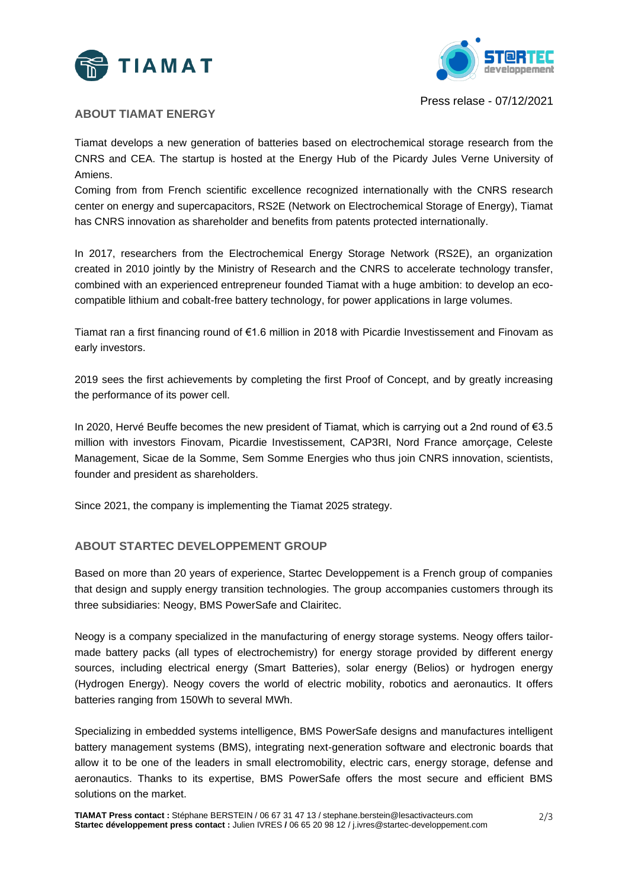



Press relase - 07/12/2021

## **ABOUT TIAMAT ENERGY**

Tiamat develops a new generation of batteries based on electrochemical storage research from the CNRS and CEA. The startup is hosted at the Energy Hub of the Picardy Jules Verne University of Amiens.

Coming from from French scientific excellence recognized internationally with the CNRS research center on energy and supercapacitors, RS2E (Network on Electrochemical Storage of Energy), Tiamat has CNRS innovation as shareholder and benefits from patents protected internationally.

In 2017, researchers from the Electrochemical Energy Storage Network (RS2E), an organization created in 2010 jointly by the Ministry of Research and the CNRS to accelerate technology transfer, combined with an experienced entrepreneur founded Tiamat with a huge ambition: to develop an ecocompatible lithium and cobalt-free battery technology, for power applications in large volumes.

Tiamat ran a first financing round of €1.6 million in 2018 with Picardie Investissement and Finovam as early investors.

2019 sees the first achievements by completing the first Proof of Concept, and by greatly increasing the performance of its power cell.

In 2020, Hervé Beuffe becomes the new president of Tiamat, which is carrying out a 2nd round of €3.5 million with investors Finovam, Picardie Investissement, CAP3RI, Nord France amorçage, Celeste Management, Sicae de la Somme, Sem Somme Energies who thus join CNRS innovation, scientists, founder and president as shareholders.

Since 2021, the company is implementing the Tiamat 2025 strategy.

#### **ABOUT STARTEC DEVELOPPEMENT GROUP**

Based on more than 20 years of experience, Startec Developpement is a French group of companies that design and supply energy transition technologies. The group accompanies customers through its three subsidiaries: Neogy, BMS PowerSafe and Clairitec.

Neogy is a company specialized in the manufacturing of energy storage systems. Neogy offers tailormade battery packs (all types of electrochemistry) for energy storage provided by different energy sources, including electrical energy (Smart Batteries), solar energy (Belios) or hydrogen energy (Hydrogen Energy). Neogy covers the world of electric mobility, robotics and aeronautics. It offers batteries ranging from 150Wh to several MWh.

Specializing in embedded systems intelligence, BMS PowerSafe designs and manufactures intelligent battery management systems (BMS), integrating next-generation software and electronic boards that allow it to be one of the leaders in small electromobility, electric cars, energy storage, defense and aeronautics. Thanks to its expertise, BMS PowerSafe offers the most secure and efficient BMS solutions on the market.